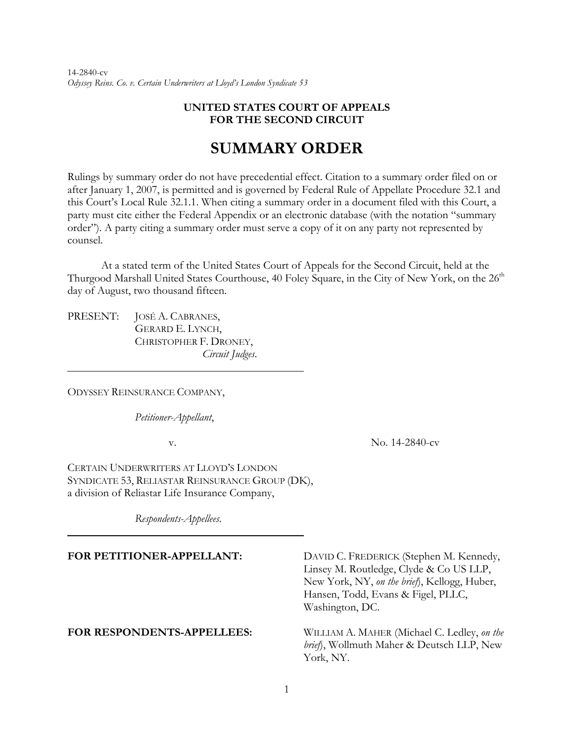14-2840-cv *Odyssey Reins. Co. v. Certain Underwriters at Lloyd's London Syndicate 53* 

## **UNITED STATES COURT OF APPEALS FOR THE SECOND CIRCUIT**

## **SUMMARY ORDER**

Rulings by summary order do not have precedential effect. Citation to a summary order filed on or after January 1, 2007, is permitted and is governed by Federal Rule of Appellate Procedure 32.1 and this Court's Local Rule 32.1.1. When citing a summary order in a document filed with this Court, a party must cite either the Federal Appendix or an electronic database (with the notation "summary order"). A party citing a summary order must serve a copy of it on any party not represented by counsel.

At a stated term of the United States Court of Appeals for the Second Circuit, held at the Thurgood Marshall United States Courthouse, 40 Foley Square, in the City of New York, on the 26<sup>th</sup> day of August, two thousand fifteen.

PRESENT: JOSÉ A. CABRANES, GERARD E. LYNCH, CHRISTOPHER F. DRONEY, *Circuit Judges*.

ODYSSEY REINSURANCE COMPANY,

l

 $\overline{a}$ 

*Petitioner-Appellant*,

v. No. 14-2840-cv

CERTAIN UNDERWRITERS AT LLOYD'S LONDON SYNDICATE 53, RELIASTAR REINSURANCE GROUP (DK), a division of Reliastar Life Insurance Company,

*Respondents-Appellees*.

FOR PETITIONER-APPELLANT: DAVID C. FREDERICK (Stephen M. Kennedy, Linsey M. Routledge, Clyde & Co US LLP, New York, NY, *on the brief*), Kellogg, Huber, Hansen, Todd, Evans & Figel, PLLC, Washington, DC.

**FOR RESPONDENTS-APPELLEES:** WILLIAM A. MAHER (Michael C. Ledley, *on the brief*), Wollmuth Maher & Deutsch LLP, New York, NY.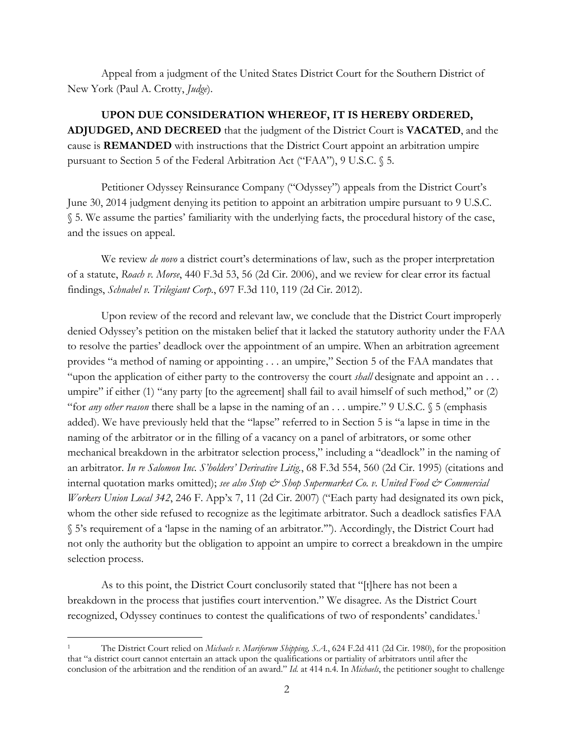Appeal from a judgment of the United States District Court for the Southern District of New York (Paul A. Crotty, *Judge*).

**UPON DUE CONSIDERATION WHEREOF, IT IS HEREBY ORDERED, ADJUDGED, AND DECREED** that the judgment of the District Court is **VACATED**, and the cause is **REMANDED** with instructions that the District Court appoint an arbitration umpire pursuant to Section 5 of the Federal Arbitration Act ("FAA"), 9 U.S.C. § 5.

Petitioner Odyssey Reinsurance Company ("Odyssey") appeals from the District Court's June 30, 2014 judgment denying its petition to appoint an arbitration umpire pursuant to 9 U.S.C. § 5. We assume the parties' familiarity with the underlying facts, the procedural history of the case, and the issues on appeal.

We review *de novo* a district court's determinations of law, such as the proper interpretation of a statute, *Roach v. Morse*, 440 F.3d 53, 56 (2d Cir. 2006), and we review for clear error its factual findings, *Schnabel v. Trilegiant Corp.*, 697 F.3d 110, 119 (2d Cir. 2012).

Upon review of the record and relevant law, we conclude that the District Court improperly denied Odyssey's petition on the mistaken belief that it lacked the statutory authority under the FAA to resolve the parties' deadlock over the appointment of an umpire. When an arbitration agreement provides "a method of naming or appointing . . . an umpire," Section 5 of the FAA mandates that "upon the application of either party to the controversy the court *shall* designate and appoint an . . . umpire" if either (1) "any party [to the agreement] shall fail to avail himself of such method," or (2) "for *any other reason* there shall be a lapse in the naming of an . . . umpire." 9 U.S.C. § 5 (emphasis added). We have previously held that the "lapse" referred to in Section 5 is "a lapse in time in the naming of the arbitrator or in the filling of a vacancy on a panel of arbitrators, or some other mechanical breakdown in the arbitrator selection process," including a "deadlock" in the naming of an arbitrator. *In re Salomon Inc. S'holders' Derivative Litig.*, 68 F.3d 554, 560 (2d Cir. 1995) (citations and internal quotation marks omitted); see also Stop & Shop Supermarket Co. v. United Food & Commercial *Workers Union Local 342*, 246 F. App'x 7, 11 (2d Cir. 2007) ("Each party had designated its own pick, whom the other side refused to recognize as the legitimate arbitrator. Such a deadlock satisfies FAA § 5's requirement of a 'lapse in the naming of an arbitrator.'"). Accordingly, the District Court had not only the authority but the obligation to appoint an umpire to correct a breakdown in the umpire selection process.

As to this point, the District Court conclusorily stated that "[t]here has not been a breakdown in the process that justifies court intervention." We disagree. As the District Court recognized, Odyssey continues to contest the qualifications of two of respondents' candidates.<sup>1</sup>

-

<sup>1</sup> The District Court relied on *Michaels v. Mariforum Shipping, S.A.*, 624 F.2d 411 (2d Cir. 1980), for the proposition that "a district court cannot entertain an attack upon the qualifications or partiality of arbitrators until after the conclusion of the arbitration and the rendition of an award." *Id.* at 414 n.4. In *Michaels*, the petitioner sought to challenge